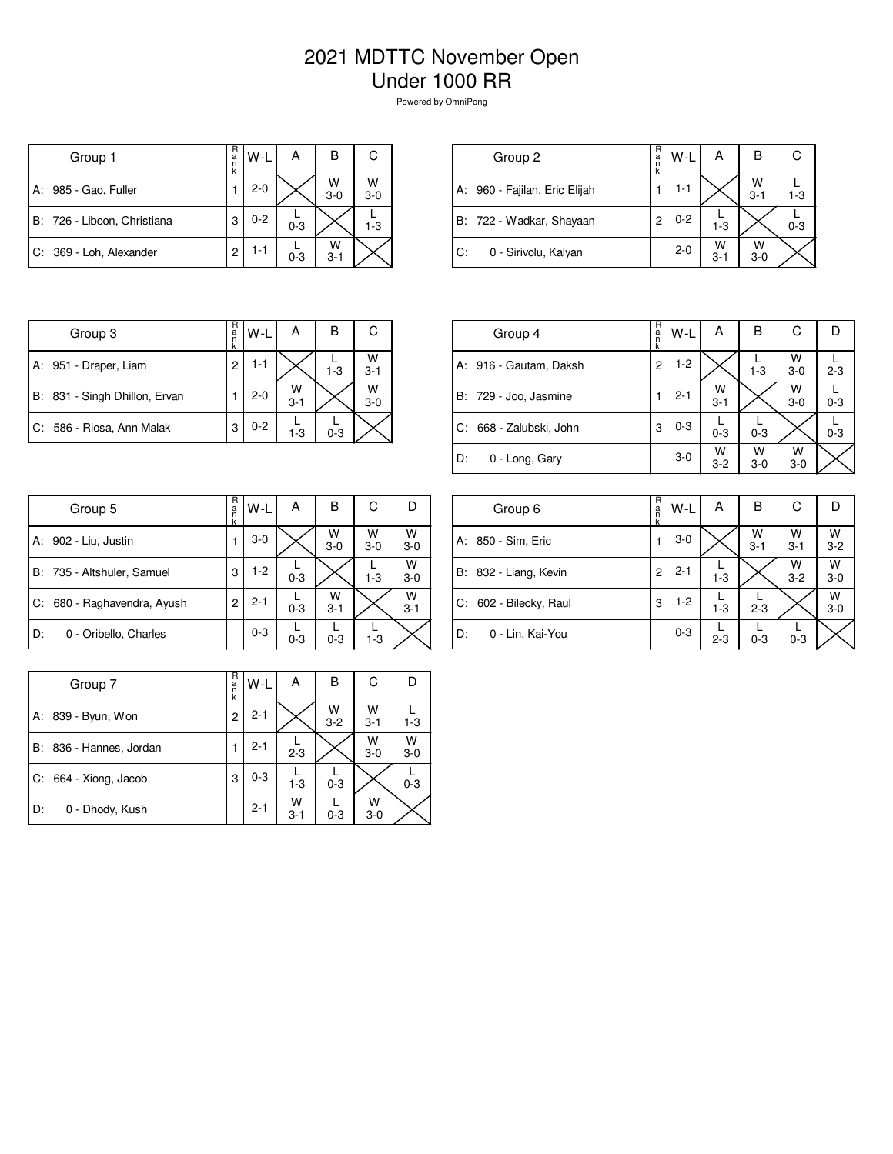## 2021 MDTTC November Open Under 1000 RR

Powered by OmniPong

| Group 1                     | R<br>a<br>n | $W-L$   | А       | в            | С            |
|-----------------------------|-------------|---------|---------|--------------|--------------|
| 985 - Gao, Fuller<br>А:     |             | $2 - 0$ |         | W<br>$3 - 0$ | W<br>$3 - 0$ |
| B: 726 - Liboon, Christiana | 3           | $0 - 2$ | $0 - 3$ |              | $1 - 3$      |
| C: 369 - Loh, Alexander     | 2           | $1 - 1$ | $0 - 3$ | w<br>$3 - 1$ |              |

| Group 2                       | R<br>a<br>n<br>k | $W-L$   | А            | в            |         |
|-------------------------------|------------------|---------|--------------|--------------|---------|
| A: 960 - Fajilan, Eric Elijah |                  | 1-1     |              | W<br>$3 - 1$ | $1 - 3$ |
| B: 722 - Wadkar, Shayaan      | 2                | $0 - 2$ | $1 - 3$      |              | $0 - 3$ |
| IC.<br>0 - Sirivolu, Kalyan   |                  | $2 - 0$ | W<br>$3 - 1$ | W<br>$3-0$   |         |

| Group 3                       | R<br>а<br>ñ | $W-L$   | А            | В       | С            |
|-------------------------------|-------------|---------|--------------|---------|--------------|
| A: 951 - Draper, Liam         | 2           | 1-1     |              | $1 - 3$ | W<br>$3 - 1$ |
| B: 831 - Singh Dhillon, Ervan |             | $2 - 0$ | w<br>$3 - 1$ |         | W<br>$3-0$   |
| C: 586 - Riosa, Ann Malak     | 3           | $0 - 2$ | $1 - 3$      | $0 - 3$ |              |

| Group 4                   | R<br>a<br>k | W-L     | А            | В          | C            |         |
|---------------------------|-------------|---------|--------------|------------|--------------|---------|
| A: 916 - Gautam, Daksh    | 2           | $1-2$   |              | $1 - 3$    | W<br>$3-0$   | $2 - 3$ |
| B: 729 - Joo, Jasmine     |             | $2 - 1$ | W<br>$3 - 1$ |            | W<br>$3-0$   | $0 - 3$ |
| l C: 668 - Zalubski, John | 3           | $0 - 3$ | $0 - 3$      | $0 - 3$    |              | $0 - 3$ |
| ID:<br>0 - Long, Gary     |             | $3-0$   | W<br>$3 - 2$ | w<br>$3-0$ | w<br>$3 - 0$ |         |

|    | Group 5                     | R<br>a<br>n<br>k | W-L     | А       | в            | С          |              |
|----|-----------------------------|------------------|---------|---------|--------------|------------|--------------|
|    | A: 902 - Liu, Justin        |                  | $3-0$   |         | W<br>$3-0$   | W<br>$3-0$ | W<br>$3 - 0$ |
|    | B: 735 - Altshuler, Samuel  | 3                | $1-2$   | $0 - 3$ |              | $1 - 3$    | W<br>$3-0$   |
|    | C: 680 - Raghavendra, Ayush | 2                | $2 - 1$ | $0 - 3$ | W<br>$3 - 1$ |            | W<br>$3 - 1$ |
| D: | 0 - Oribello, Charles       |                  | $0 - 3$ | $0 - 3$ | $0 - 3$      | $1-3$      |              |

|    | Group 6                | R<br>a<br>k | W-L     | А       | в            | С            | Ð                  |
|----|------------------------|-------------|---------|---------|--------------|--------------|--------------------|
|    | A: 850 - Sim, Eric     | 1           | $3-0$   |         | w<br>$3 - 1$ | W<br>$3 - 1$ | $W$ <sub>3-2</sub> |
|    | B: 832 - Liang, Kevin  | 2           | $2 - 1$ | $1 - 3$ |              | W<br>$3 - 2$ | W<br>$3-0$         |
|    | C: 602 - Bilecky, Raul | 3           | $1-2$   | $1 - 3$ | $2 - 3$      |              | $W$ <sub>3-0</sub> |
| D: | 0 - Lin, Kai-You       |             | $0 - 3$ | $2 - 3$ | $0 - 3$      | $0 - 3$      |                    |

|                         | R           |         | А            | в            | С            |            |
|-------------------------|-------------|---------|--------------|--------------|--------------|------------|
| Group 7                 | a<br>n<br>k | W-L     |              |              |              |            |
| 839 - Byun, Won<br>А:   | 2           | $2 - 1$ |              | W<br>$3 - 2$ | W<br>$3 - 1$ | $1 - 3$    |
| B: 836 - Hannes, Jordan |             | $2 - 1$ | $2 - 3$      |              | W<br>$3-0$   | W<br>$3-0$ |
| C: 664 - Xiong, Jacob   | 3           | $0 - 3$ | $1 - 3$      | $0 - 3$      |              | $0 - 3$    |
| D:<br>0 - Dhody, Kush   |             | $2 - 1$ | w<br>$3 - 1$ | $0 - 3$      | W<br>$3-0$   |            |